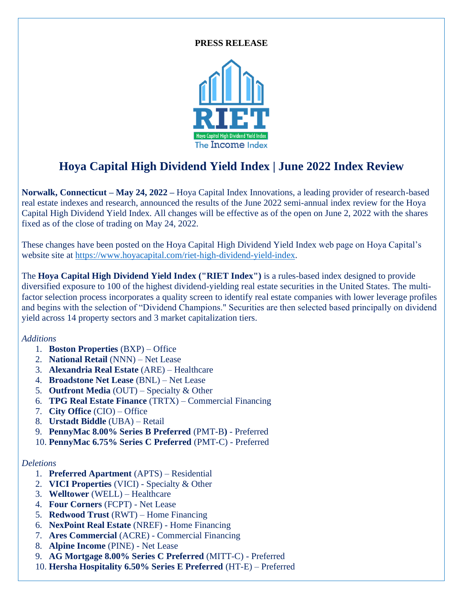#### **PRESS RELEASE**



# **Hoya Capital High Dividend Yield Index | June 2022 Index Review**

**Norwalk, Connecticut – May 24, 2022 –** Hoya Capital Index Innovations, a leading provider of research-based real estate indexes and research, announced the results of the June 2022 semi-annual index review for the Hoya Capital High Dividend Yield Index. All changes will be effective as of the open on June 2, 2022 with the shares fixed as of the close of trading on May 24, 2022.

These changes have been posted on the Hoya Capital High Dividend Yield Index web page on Hoya Capital's website site at [https://www.hoyacapital.com/riet-high-dividend-yield-index.](https://www.hoyacapital.com/riet-high-dividend-yield-index)

The **Hoya Capital High Dividend Yield Index ("RIET Index")** is a rules-based index designed to provide diversified exposure to 100 of the highest dividend-yielding real estate securities in the United States. The multifactor selection process incorporates a quality screen to identify real estate companies with lower leverage profiles and begins with the selection of "Dividend Champions." Securities are then selected based principally on dividend yield across 14 property sectors and 3 market capitalization tiers.

### *Additions*

- 1. **Boston Properties** (BXP) Office
- 2. **National Retail** (NNN) Net Lease
- 3. **Alexandria Real Estate** (ARE) Healthcare
- 4. **Broadstone Net Lease** (BNL) Net Lease
- 5. **Outfront Media** (OUT) Specialty & Other
- 6. **TPG Real Estate Finance** (TRTX) Commercial Financing
- 7. **City Office** (CIO) Office
- 8. **Urstadt Biddle** (UBA) Retail
- 9. **PennyMac 8.00% Series B Preferred** (PMT-B**)** Preferred
- 10. **PennyMac 6.75% Series C Preferred** (PMT-C) Preferred

### *Deletions*

- 1. **Preferred Apartment** (APTS) Residential
- 2. **VICI Properties** (VICI) Specialty & Other
- 3. **Welltower** (WELL) Healthcare
- 4. **Four Corners** (FCPT) Net Lease
- 5. **Redwood Trust** (RWT) Home Financing
- 6. **NexPoint Real Estate** (NREF) Home Financing
- 7. **Ares Commercial** (ACRE) Commercial Financing
- 8. **Alpine Income** (PINE) Net Lease
- 9. **AG Mortgage 8.00% Series C Preferred** (MITT-C) Preferred
- 10. **Hersha Hospitality 6.50% Series E Preferred** (HT-E) Preferred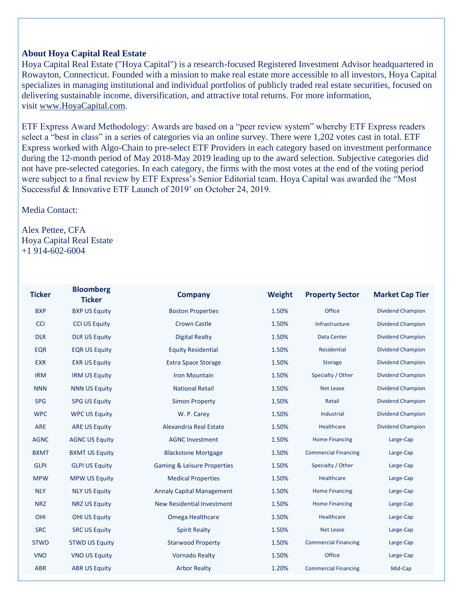### **About Hoya Capital Real Estate**

Hoya Capital Real Estate ("Hoya Capital") is a research-focused Registered Investment Advisor headquartered in Rowayton, Connecticut. Founded with a mission to make real estate more accessible to all investors, Hoya Capital specializes in managing institutional and individual portfolios of publicly traded real estate securities, focused on delivering sustainable income, diversification, and attractive total returns. For more information, visit [www.HoyaCapital.com.](http://www.hoyacapital.com/)

ETF Express Award Methodology: Awards are based on a "peer review system" whereby ETF Express readers select a "best in class" in a series of categories via an online survey. There were 1,202 votes cast in total. ETF Express worked with Algo-Chain to pre-select ETF Providers in each category based on investment performance during the 12-month period of May 2018-May 2019 leading up to the award selection. Subjective categories did not have pre-selected categories. In each category, the firms with the most votes at the end of the voting period were subject to a final review by ETF Express's Senior Editorial team. Hoya Capital was awarded the "Most Successful & Innovative ETF Launch of 2019' on October 24, 2019.

## Media Contact:

Alex Pettee, CFA Hoya Capital Real Estate +1 914-602-6004

| <b>Ticker</b> | <b>Bloomberg</b><br><b>Ticker</b> | <b>Company</b>                         | Weight | <b>Property Sector</b>      | <b>Market Cap Tier</b>   |
|---------------|-----------------------------------|----------------------------------------|--------|-----------------------------|--------------------------|
| <b>BXP</b>    | <b>BXP US Equity</b>              | <b>Boston Properties</b>               | 1.50%  | Office                      | <b>Dividend Champion</b> |
| <b>CCI</b>    | <b>CCI US Equity</b>              | <b>Crown Castle</b>                    | 1.50%  | Infrastructure              | <b>Dividend Champion</b> |
| <b>DLR</b>    | <b>DLR US Equity</b>              | <b>Digital Realty</b>                  | 1.50%  | Data Center                 | <b>Dividend Champion</b> |
| <b>EQR</b>    | <b>EQR US Equity</b>              | <b>Equity Residential</b>              | 1.50%  | Residential                 | <b>Dividend Champion</b> |
| <b>EXR</b>    | <b>EXR US Equity</b>              | <b>Extra Space Storage</b>             | 1.50%  | <b>Storage</b>              | <b>Dividend Champion</b> |
| <b>IRM</b>    | <b>IRM US Equity</b>              | <b>Iron Mountain</b>                   | 1.50%  | Specialty / Other           | <b>Dividend Champion</b> |
| <b>NNN</b>    | <b>NNN US Equity</b>              | <b>National Retail</b>                 | 1.50%  | <b>Net Lease</b>            | <b>Dividend Champion</b> |
| <b>SPG</b>    | <b>SPG US Equity</b>              | <b>Simon Property</b>                  | 1.50%  | Retail                      | <b>Dividend Champion</b> |
| <b>WPC</b>    | <b>WPC US Equity</b>              | W. P. Carey                            | 1.50%  | Industrial                  | <b>Dividend Champion</b> |
| <b>ARE</b>    | <b>ARE US Equity</b>              | Alexandria Real Estate                 | 1.50%  | Healthcare                  | <b>Dividend Champion</b> |
| <b>AGNC</b>   | <b>AGNC US Equity</b>             | <b>AGNC Investment</b>                 | 1.50%  | <b>Home Financing</b>       | Large-Cap                |
| <b>BXMT</b>   | <b>BXMT US Equity</b>             | <b>Blackstone Mortgage</b>             | 1.50%  | <b>Commercial Financing</b> | Large-Cap                |
| <b>GLPI</b>   | <b>GLPI US Equity</b>             | <b>Gaming &amp; Leisure Properties</b> | 1.50%  | Specialty / Other           | Large-Cap                |
| <b>MPW</b>    | <b>MPW US Equity</b>              | <b>Medical Properties</b>              | 1.50%  | Healthcare                  | Large-Cap                |
| <b>NLY</b>    | <b>NLY US Equity</b>              | <b>Annaly Capital Management</b>       | 1.50%  | <b>Home Financing</b>       | Large-Cap                |
| <b>NRZ</b>    | <b>NRZ US Equity</b>              | <b>New Residential Investment</b>      | 1.50%  | <b>Home Financing</b>       | Large-Cap                |
| OHI           | <b>OHI US Equity</b>              | Omega Healthcare                       | 1.50%  | Healthcare                  | Large-Cap                |
| <b>SRC</b>    | <b>SRC US Equity</b>              | <b>Spirit Realty</b>                   | 1.50%  | <b>Net Lease</b>            | Large-Cap                |
| <b>STWD</b>   | <b>STWD US Equity</b>             | <b>Starwood Property</b>               | 1.50%  | <b>Commercial Financing</b> | Large-Cap                |
| <b>VNO</b>    | <b>VNO US Equity</b>              | <b>Vornado Realty</b>                  | 1.50%  | Office                      | Large-Cap                |
| <b>ABR</b>    | <b>ABR US Equity</b>              | <b>Arbor Realty</b>                    | 1.20%  | <b>Commercial Financing</b> | Mid-Cap                  |
|               |                                   |                                        |        |                             |                          |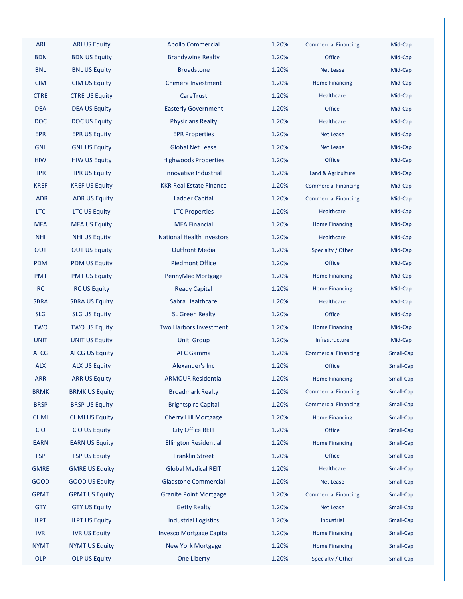| ARI         | <b>ARI US Equity</b>  | <b>Apollo Commercial</b>         | 1.20% | <b>Commercial Financing</b> | Mid-Cap   |
|-------------|-----------------------|----------------------------------|-------|-----------------------------|-----------|
| <b>BDN</b>  | <b>BDN US Equity</b>  | <b>Brandywine Realty</b>         | 1.20% | Office                      | Mid-Cap   |
| <b>BNL</b>  | <b>BNL US Equity</b>  | <b>Broadstone</b>                | 1.20% | <b>Net Lease</b>            | Mid-Cap   |
| <b>CIM</b>  | <b>CIM US Equity</b>  | Chimera Investment               | 1.20% | <b>Home Financing</b>       | Mid-Cap   |
| <b>CTRE</b> | <b>CTRE US Equity</b> | CareTrust                        | 1.20% | Healthcare                  | Mid-Cap   |
| <b>DEA</b>  | <b>DEA US Equity</b>  | <b>Easterly Government</b>       | 1.20% | Office                      | Mid-Cap   |
| <b>DOC</b>  | <b>DOC US Equity</b>  | <b>Physicians Realty</b>         | 1.20% | Healthcare                  | Mid-Cap   |
| <b>EPR</b>  | <b>EPR US Equity</b>  | <b>EPR Properties</b>            | 1.20% | <b>Net Lease</b>            | Mid-Cap   |
| <b>GNL</b>  | <b>GNL US Equity</b>  | <b>Global Net Lease</b>          | 1.20% | <b>Net Lease</b>            | Mid-Cap   |
| <b>HIW</b>  | <b>HIW US Equity</b>  | <b>Highwoods Properties</b>      | 1.20% | Office                      | Mid-Cap   |
| <b>IIPR</b> | <b>IIPR US Equity</b> | Innovative Industrial            | 1.20% | Land & Agriculture          | Mid-Cap   |
| <b>KREF</b> | <b>KREF US Equity</b> | <b>KKR Real Estate Finance</b>   | 1.20% | <b>Commercial Financing</b> | Mid-Cap   |
| <b>LADR</b> | <b>LADR US Equity</b> | Ladder Capital                   | 1.20% | <b>Commercial Financing</b> | Mid-Cap   |
| <b>LTC</b>  | <b>LTC US Equity</b>  | <b>LTC Properties</b>            | 1.20% | Healthcare                  | Mid-Cap   |
| <b>MFA</b>  | <b>MFA US Equity</b>  | <b>MFA Financial</b>             | 1.20% | <b>Home Financing</b>       | Mid-Cap   |
| <b>NHI</b>  | <b>NHI US Equity</b>  | <b>National Health Investors</b> | 1.20% | Healthcare                  | Mid-Cap   |
| <b>OUT</b>  | <b>OUT US Equity</b>  | <b>Outfront Media</b>            | 1.20% | Specialty / Other           | Mid-Cap   |
| <b>PDM</b>  | <b>PDM US Equity</b>  | <b>Piedmont Office</b>           | 1.20% | Office                      | Mid-Cap   |
| <b>PMT</b>  | <b>PMT US Equity</b>  | PennyMac Mortgage                | 1.20% | <b>Home Financing</b>       | Mid-Cap   |
| <b>RC</b>   | <b>RC US Equity</b>   | <b>Ready Capital</b>             | 1.20% | <b>Home Financing</b>       | Mid-Cap   |
| <b>SBRA</b> | <b>SBRA US Equity</b> | Sabra Healthcare                 | 1.20% | Healthcare                  | Mid-Cap   |
| <b>SLG</b>  | <b>SLG US Equity</b>  | <b>SL Green Realty</b>           | 1.20% | Office                      | Mid-Cap   |
| <b>TWO</b>  | <b>TWO US Equity</b>  | <b>Two Harbors Investment</b>    | 1.20% | <b>Home Financing</b>       | Mid-Cap   |
| <b>UNIT</b> | <b>UNIT US Equity</b> | <b>Uniti Group</b>               | 1.20% | Infrastructure              | Mid-Cap   |
| <b>AFCG</b> | <b>AFCG US Equity</b> | <b>AFC Gamma</b>                 | 1.20% | <b>Commercial Financing</b> | Small-Cap |
| <b>ALX</b>  | <b>ALX US Equity</b>  | Alexander's Inc                  | 1.20% | Office                      | Small-Cap |
| <b>ARR</b>  | <b>ARR US Equity</b>  | <b>ARMOUR Residential</b>        | 1.20% | <b>Home Financing</b>       | Small-Cap |
| <b>BRMK</b> | <b>BRMK US Equity</b> | <b>Broadmark Realty</b>          | 1.20% | <b>Commercial Financing</b> | Small-Cap |
| <b>BRSP</b> | <b>BRSP US Equity</b> | <b>Brightspire Capital</b>       | 1.20% | <b>Commercial Financing</b> | Small-Cap |
| <b>CHMI</b> | <b>CHMI US Equity</b> | <b>Cherry Hill Mortgage</b>      | 1.20% | <b>Home Financing</b>       | Small-Cap |
| <b>CIO</b>  | CIO US Equity         | City Office REIT                 | 1.20% | <b>Office</b>               | Small-Cap |
| <b>EARN</b> | <b>EARN US Equity</b> | <b>Ellington Residential</b>     | 1.20% | <b>Home Financing</b>       | Small-Cap |
| <b>FSP</b>  | <b>FSP US Equity</b>  | <b>Franklin Street</b>           | 1.20% | Office                      | Small-Cap |
| <b>GMRE</b> | <b>GMRE US Equity</b> | <b>Global Medical REIT</b>       | 1.20% | Healthcare                  | Small-Cap |
| <b>GOOD</b> | <b>GOOD US Equity</b> | <b>Gladstone Commercial</b>      | 1.20% | <b>Net Lease</b>            | Small-Cap |
| <b>GPMT</b> | <b>GPMT US Equity</b> | <b>Granite Point Mortgage</b>    | 1.20% | <b>Commercial Financing</b> | Small-Cap |
| <b>GTY</b>  | <b>GTY US Equity</b>  | <b>Getty Realty</b>              | 1.20% | <b>Net Lease</b>            | Small-Cap |
| <b>ILPT</b> | <b>ILPT US Equity</b> | Industrial Logistics             | 1.20% | Industrial                  | Small-Cap |
| <b>IVR</b>  | <b>IVR US Equity</b>  | <b>Invesco Mortgage Capital</b>  | 1.20% | <b>Home Financing</b>       | Small-Cap |
| <b>NYMT</b> | <b>NYMT US Equity</b> | <b>New York Mortgage</b>         | 1.20% | <b>Home Financing</b>       | Small-Cap |
| OLP         | <b>OLP US Equity</b>  | One Liberty                      | 1.20% | Specialty / Other           | Small-Cap |
|             |                       |                                  |       |                             |           |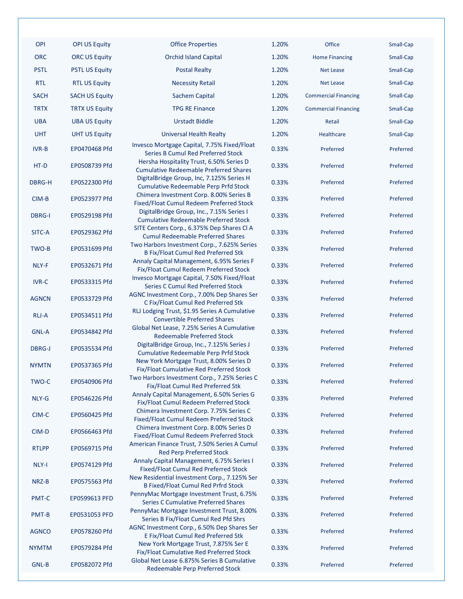| <b>OPI</b>    | <b>OPI US Equity</b>  |  |  |
|---------------|-----------------------|--|--|
| ORC           | <b>ORC US Equity</b>  |  |  |
| <b>PSTL</b>   | <b>PSTL US Equity</b> |  |  |
| RTL           | <b>RTL US Equity</b>  |  |  |
| <b>SACH</b>   | <b>SACH US Equity</b> |  |  |
| <b>TRTX</b>   | <b>TRTX US Equity</b> |  |  |
| UBA           | <b>UBA US Equity</b>  |  |  |
| UHT           | <b>UHT US Equity</b>  |  |  |
| IVR-B         | EP0470468 Pfd         |  |  |
| HT-D          | EP0508739 Pfd         |  |  |
| DBRG-H        | EP0522300 Pfd         |  |  |
| CIM-B         | EP0523977 Pfd         |  |  |
| <b>DBRG-I</b> | EP0529198 Pfd         |  |  |
| SITC-A        | EP0529362 Pfd         |  |  |
| TWO-B         | EP0531699 Pfd         |  |  |
| NLY-F         | EP0532671 Pfd         |  |  |
| <b>IVR-C</b>  | EP0533315 Pfd         |  |  |
| <b>AGNCN</b>  | EP0533729 Pfd         |  |  |
| RLJ-A         | EP0534511 Pfd         |  |  |
| <b>GNL-A</b>  | EP0534842 Pfd         |  |  |
| DBRG-J        | EP0535534 Pfd         |  |  |
| <b>NYMTN</b>  | EP0537365 Pfd         |  |  |
| TWO-C         | EP0540906 Pfd         |  |  |
| NLY-G         | EP0546226 Pfd         |  |  |
| CIM-C         | EP0560425 Pfd         |  |  |
| CIM-D         | EP0566463 Pfd         |  |  |
| <b>RTLPP</b>  | EP0569715 Pfd         |  |  |
| <b>NLY-I</b>  | EP0574129 Pfd         |  |  |
| NRZ-B         | EP0575563 Pfd         |  |  |
| <b>PMT-C</b>  | EP0599613 PFD         |  |  |
| <b>PMT-B</b>  | EP0531053 PFD         |  |  |
| <b>AGNCO</b>  | EP0578260 Pfd         |  |  |
| <b>NYMTM</b>  | EP0579284 Pfd         |  |  |
| GNL-B         | EP0582072 Pfd         |  |  |

| <b>PSTL</b>   | <b>PSTL US Equity</b> | <b>Postal Realty</b>                                                                                                              | 1.20% | <b>Net Lease</b>            | Small-Cap |
|---------------|-----------------------|-----------------------------------------------------------------------------------------------------------------------------------|-------|-----------------------------|-----------|
| <b>RTL</b>    | <b>RTL US Equity</b>  | <b>Necessity Retail</b>                                                                                                           | 1.20% | <b>Net Lease</b>            | Small-Cap |
| <b>SACH</b>   | <b>SACH US Equity</b> | <b>Sachem Capital</b>                                                                                                             | 1.20% | <b>Commercial Financing</b> | Small-Cap |
| <b>TRTX</b>   | <b>TRTX US Equity</b> | <b>TPG RE Finance</b>                                                                                                             | 1.20% | <b>Commercial Financing</b> | Small-Cap |
| <b>UBA</b>    | <b>UBA US Equity</b>  | <b>Urstadt Biddle</b>                                                                                                             | 1.20% | Retail                      | Small-Cap |
| <b>UHT</b>    | <b>UHT US Equity</b>  | <b>Universal Health Realty</b>                                                                                                    | 1.20% | Healthcare                  |           |
|               |                       | Invesco Mortgage Capital, 7.75% Fixed/Float                                                                                       |       |                             | Small-Cap |
| <b>IVR-B</b>  | EP0470468 Pfd         | Series B Cumul Red Preferred Stock                                                                                                | 0.33% | Preferred                   | Preferred |
| HT-D          | EP0508739 Pfd         | Hersha Hospitality Trust, 6.50% Series D<br><b>Cumulative Redeemable Preferred Shares</b>                                         | 0.33% | Preferred                   | Preferred |
| DBRG-H        | EP0522300 Pfd         | DigitalBridge Group, Inc, 7.125% Series H<br><b>Cumulative Redeemable Perp Prfd Stock</b>                                         | 0.33% | Preferred                   | Preferred |
| CIM-B         | EP0523977 Pfd         | Chimera Investment Corp. 8.00% Series B<br>Fixed/Float Cumul Redeem Preferred Stock                                               | 0.33% | Preferred                   | Preferred |
| <b>DBRG-I</b> | EP0529198 Pfd         | DigitalBridge Group, Inc., 7.15% Series I<br><b>Cumulative Redeemable Preferred Stock</b>                                         | 0.33% | Preferred                   | Preferred |
| SITC-A        | EP0529362 Pfd         | SITE Centers Corp., 6.375% Dep Shares CI A<br><b>Cumul Redeemable Preferred Shares</b>                                            | 0.33% | Preferred                   | Preferred |
| TWO-B         | EP0531699 Pfd         | Two Harbors Investment Corp., 7.625% Series                                                                                       | 0.33% | Preferred                   | Preferred |
| NLY-F         | EP0532671 Pfd         | <b>B Fix/Float Cumul Red Preferred Stk</b><br>Annaly Capital Management, 6.95% Series F<br>Fix/Float Cumul Redeem Preferred Stock | 0.33% | Preferred                   | Preferred |
| <b>IVR-C</b>  | EP0533315 Pfd         | Invesco Mortgage Capital, 7.50% Fixed/Float<br>Series C Cumul Red Preferred Stock                                                 | 0.33% | Preferred                   | Preferred |
| <b>AGNCN</b>  | EP0533729 Pfd         | AGNC Investment Corp., 7.00% Dep Shares Ser<br>C Fix/Float Cumul Red Preferred Stk                                                | 0.33% | Preferred                   | Preferred |
| RLJ-A         | EP0534511 Pfd         | RLJ Lodging Trust, \$1.95 Series A Cumulative<br><b>Convertible Preferred Shares</b>                                              | 0.33% | Preferred                   | Preferred |
| <b>GNL-A</b>  | EP0534842 Pfd         | Global Net Lease, 7.25% Series A Cumulative<br><b>Redeemable Preferred Stock</b>                                                  | 0.33% | Preferred                   | Preferred |
| <b>DBRG-J</b> | EP0535534 Pfd         | DigitalBridge Group, Inc., 7.125% Series J<br><b>Cumulative Redeemable Perp Prfd Stock</b>                                        | 0.33% | Preferred                   | Preferred |
| <b>NYMTN</b>  | EP0537365 Pfd         | New York Mortgage Trust, 8.00% Series D<br>Fix/Float Cumulative Red Preferred Stock                                               | 0.33% | Preferred                   | Preferred |
| TWO-C         | EP0540906 Pfd         | Two Harbors Investment Corp., 7.25% Series C<br>Fix/Float Cumul Red Preferred Stk                                                 | 0.33% | Preferred                   | Preferred |
| NLY-G         | EP0546226 Pfd         | Annaly Capital Management, 6.50% Series G<br>Fix/Float Cumul Redeem Preferred Stock                                               | 0.33% | Preferred                   | Preferred |
| CIM-C         | EP0560425 Pfd         | Chimera Investment Corp. 7.75% Series C<br><b>Fixed/Float Cumul Redeem Preferred Stock</b>                                        | 0.33% | Preferred                   | Preferred |
| CIM-D         | EP0566463 Pfd         | Chimera Investment Corp. 8.00% Series D<br>Fixed/Float Cumul Redeem Preferred Stock                                               | 0.33% | Preferred                   | Preferred |
| <b>RTLPP</b>  | EP0569715 Pfd         | American Finance Trust, 7.50% Series A Cumul<br><b>Red Perp Preferred Stock</b>                                                   | 0.33% | Preferred                   | Preferred |
| NLY-I         | EP0574129 Pfd         | Annaly Capital Management, 6.75% Series I<br>Fixed/Float Cumul Red Preferred Stock                                                | 0.33% | Preferred                   | Preferred |
| NRZ-B         | EP0575563 Pfd         | New Residential Investment Corp., 7.125% Ser<br><b>B Fixed/Float Cumul Red Prfrd Stock</b>                                        | 0.33% | Preferred                   | Preferred |
| PMT-C         | EP0599613 PFD         | PennyMac Mortgage Investment Trust, 6.75%<br><b>Series C Cumulative Preferred Shares</b>                                          | 0.33% | Preferred                   | Preferred |
| PMT-B         | EP0531053 PFD         | PennyMac Mortgage Investment Trust, 8.00%                                                                                         | 0.33% | Preferred                   | Preferred |
| AGNCO         | EP0578260 Pfd         | Series B Fix/Float Cumul Red Pfd Shrs<br>AGNC Investment Corp., 6.50% Dep Shares Ser<br>E Fix/Float Cumul Red Preferred Stk       | 0.33% | Preferred                   | Preferred |
| NYMTM         | EP0579284 Pfd         | New York Mortgage Trust, 7.875% Ser E<br>Fix/Float Cumulative Red Preferred Stock                                                 | 0.33% | Preferred                   | Preferred |
| GNL-B         | EP0582072 Pfd         | Global Net Lease 6.875% Series B Cumulative<br>Redeemable Perp Preferred Stock                                                    | 0.33% | Preferred                   | Preferred |

| <b>Office Properties</b>                                                                                                       | 1.20% | <b>Office</b>               | Small-Cap |
|--------------------------------------------------------------------------------------------------------------------------------|-------|-----------------------------|-----------|
| <b>Orchid Island Capital</b>                                                                                                   | 1.20% | <b>Home Financing</b>       | Small-Cap |
| <b>Postal Realty</b>                                                                                                           | 1.20% | <b>Net Lease</b>            | Small-Cap |
| <b>Necessity Retail</b>                                                                                                        | 1.20% | <b>Net Lease</b>            | Small-Cap |
| <b>Sachem Capital</b>                                                                                                          | 1.20% | <b>Commercial Financing</b> | Small-Cap |
| <b>TPG RE Finance</b>                                                                                                          | 1.20% | <b>Commercial Financing</b> | Small-Cap |
| <b>Urstadt Biddle</b>                                                                                                          | 1.20% | Retail                      | Small-Cap |
| <b>Universal Health Realty</b>                                                                                                 | 1.20% | Healthcare                  | Small-Cap |
| Ivesco Mortgage Capital, 7.75% Fixed/Float<br><b>Series B Cumul Red Preferred Stock</b>                                        | 0.33% | Preferred                   | Preferred |
| Hersha Hospitality Trust, 6.50% Series D<br><b>Cumulative Redeemable Preferred Shares</b>                                      | 0.33% | Preferred                   | Preferred |
| DigitalBridge Group, Inc, 7.125% Series H<br><b>Cumulative Redeemable Perp Prfd Stock</b>                                      | 0.33% | Preferred                   | Preferred |
| Chimera Investment Corp. 8.00% Series B<br>ixed/Float Cumul Redeem Preferred Stock                                             | 0.33% | Preferred                   | Preferred |
| DigitalBridge Group, Inc., 7.15% Series I<br><b>Cumulative Redeemable Preferred Stock</b>                                      | 0.33% | Preferred                   | Preferred |
| ITE Centers Corp., 6.375% Dep Shares Cl A<br><b>Cumul Redeemable Preferred Shares</b>                                          | 0.33% | Preferred                   | Preferred |
| vo Harbors Investment Corp., 7.625% Series<br><b>B Fix/Float Cumul Red Preferred Stk</b>                                       | 0.33% | Preferred                   | Preferred |
| nnaly Capital Management, 6.95% Series F<br>Fix/Float Cumul Redeem Preferred Stock                                             | 0.33% | Preferred                   | Preferred |
| Ivesco Mortgage Capital, 7.50% Fixed/Float<br>Series C Cumul Red Preferred Stock<br>INC Investment Corp., 7.00% Dep Shares Ser | 0.33% | Preferred                   | Preferred |
| C Fix/Float Cumul Red Preferred Stk                                                                                            | 0.33% | Preferred                   | Preferred |
| LJ Lodging Trust, \$1.95 Series A Cumulative<br><b>Convertible Preferred Shares</b>                                            | 0.33% | Preferred                   | Preferred |
| lobal Net Lease, 7.25% Series A Cumulative<br><b>Redeemable Preferred Stock</b>                                                | 0.33% | Preferred                   | Preferred |
| DigitalBridge Group, Inc., 7.125% Series J<br><b>Cumulative Redeemable Perp Prfd Stock</b>                                     | 0.33% | Preferred                   | Preferred |
| New York Mortgage Trust, 8.00% Series D<br>Fix/Float Cumulative Red Preferred Stock                                            | 0.33% | Preferred                   | Preferred |
| o Harbors Investment Corp., 7.25% Series C<br>Fix/Float Cumul Red Preferred Stk                                                | 0.33% | Preferred                   | Preferred |
| nnaly Capital Management, 6.50% Series G<br>Fix/Float Cumul Redeem Preferred Stock                                             | 0.33% | Preferred                   | Preferred |
| Chimera Investment Corp. 7.75% Series C<br>ixed/Float Cumul Redeem Preferred Stock                                             | 0.33% | Preferred                   | Preferred |
| Chimera Investment Corp. 8.00% Series D<br>ixed/Float Cumul Redeem Preferred Stock                                             | 0.33% | Preferred                   | Preferred |
| nerican Finance Trust, 7.50% Series A Cumul<br><b>Red Perp Preferred Stock</b>                                                 | 0.33% | Preferred                   | Preferred |
| Annaly Capital Management, 6.75% Series I<br>Fixed/Float Cumul Red Preferred Stock                                             | 0.33% | Preferred                   | Preferred |
| w Residential Investment Corp., 7.125% Ser<br><b>B Fixed/Float Cumul Red Prfrd Stock</b>                                       | 0.33% | Preferred                   | Preferred |
| InnyMac Mortgage Investment Trust, 6.75%<br><b>Series C Cumulative Preferred Shares</b>                                        | 0.33% | Preferred                   | Preferred |
| InnyMac Mortgage Investment Trust, 8.00%<br>Series B Fix/Float Cumul Red Pfd Shrs                                              | 0.33% | Preferred                   | Preferred |
| INC Investment Corp., 6.50% Dep Shares Ser<br>E Fix/Float Cumul Red Preferred Stk                                              | 0.33% | Preferred                   | Preferred |
| New York Mortgage Trust, 7.875% Ser E<br>Fix/Float Cumulative Red Preferred Stock                                              | 0.33% | Preferred                   | Preferred |
| lobal Net Lease 6.875% Series B Cumulative<br>Redeemable Perp Preferred Stock                                                  | 0.33% | Preferred                   | Preferred |